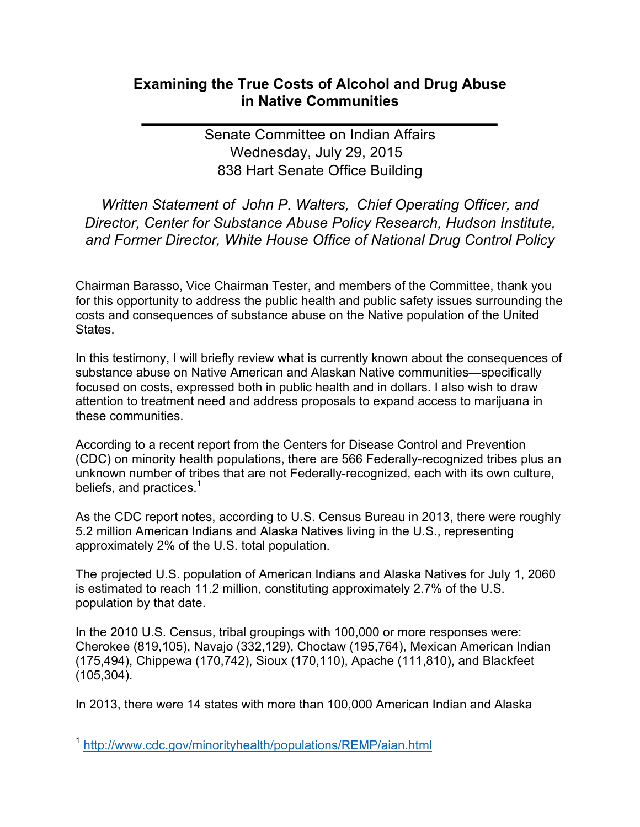## **Examining the True Costs of Alcohol and Drug Abuse in Native Communities**

Senate Committee on Indian Affairs Wednesday, July 29, 2015 838 Hart Senate Office Building

*Written Statement of John P. Walters, Chief Operating Officer, and Director,'Center'for'Substance'Abuse'Policy'Research,'Hudson'Institute,'* and Former Director, White House Office of National Drug Control Policy

Chairman Barasso, Vice Chairman Tester, and members of the Committee, thank you for this opportunity to address the public health and public safety issues surrounding the costs and consequences of substance abuse on the Native population of the United States.

In this testimony, I will briefly review what is currently known about the consequences of substance abuse on Native American and Alaskan Native communities—specifically focused on costs, expressed both in public health and in dollars. I also wish to draw attention to treatment need and address proposals to expand access to marijuana in these communities.

According to a recent report from the Centers for Disease Control and Prevention (CDC) on minority health populations, there are 566 Federally-recognized tribes plus an unknown number of tribes that are not Federally-recognized, each with its own culture, beliefs, and practices.<sup>1</sup>

As the CDC report notes, according to U.S. Census Bureau in 2013, there were roughly 5.2 million American Indians and Alaska Natives living in the U.S., representing approximately 2% of the U.S. total population.

The projected U.S. population of American Indians and Alaska Natives for July 1, 2060 is estimated to reach 11.2 million, constituting approximately 2.7% of the U.S. population by that date.

In the 2010 U.S. Census, tribal groupings with 100,000 or more responses were: Cherokee (819,105), Navajo (332,129), Choctaw (195,764), Mexican American Indian (175,494), Chippewa (170,742), Sioux (170,110), Apache (111,810), and Blackfeet (105,304).

In 2013, there were 14 states with more than 100,000 American Indian and Alaska

<sup>&</sup>lt;sup>1</sup> http://www.cdc.gov/minorityhealth/populations/REMP/aian.html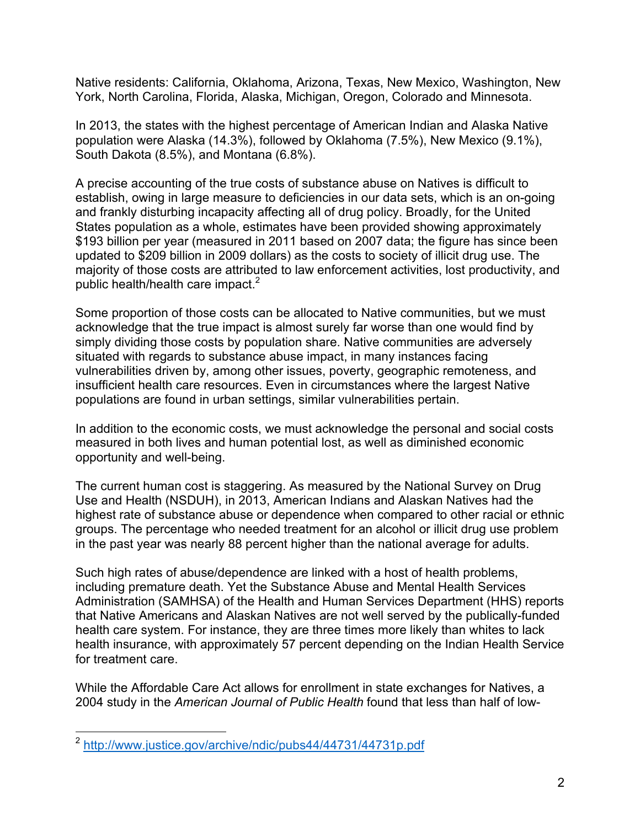Native residents: California, Oklahoma, Arizona, Texas, New Mexico, Washington, New York, North Carolina, Florida, Alaska, Michigan, Oregon, Colorado and Minnesota.

In 2013, the states with the highest percentage of American Indian and Alaska Native population were Alaska (14.3%), followed by Oklahoma (7.5%), New Mexico (9.1%), South Dakota (8.5%), and Montana (6.8%).

A precise accounting of the true costs of substance abuse on Natives is difficult to establish, owing in large measure to deficiencies in our data sets, which is an on-going and frankly disturbing incapacity affecting all of drug policy. Broadly, for the United States population as a whole, estimates have been provided showing approximately \$193 billion per year (measured in 2011 based on 2007 data; the figure has since been updated to \$209 billion in 2009 dollars) as the costs to society of illicit drug use. The majority of those costs are attributed to law enforcement activities, lost productivity, and public health/health care impact.<sup>2</sup>

Some proportion of those costs can be allocated to Native communities, but we must acknowledge that the true impact is almost surely far worse than one would find by simply dividing those costs by population share. Native communities are adversely situated with regards to substance abuse impact, in many instances facing vulnerabilities driven by, among other issues, poverty, geographic remoteness, and insufficient health care resources. Even in circumstances where the largest Native populations are found in urban settings, similar vulnerabilities pertain.

In addition to the economic costs, we must acknowledge the personal and social costs measured in both lives and human potential lost, as well as diminished economic opportunity and well-being.

The current human cost is staggering. As measured by the National Survey on Drug Use and Health (NSDUH), in 2013, American Indians and Alaskan Natives had the highest rate of substance abuse or dependence when compared to other racial or ethnic groups. The percentage who needed treatment for an alcohol or illicit drug use problem in the past year was nearly 88 percent higher than the national average for adults.

Such high rates of abuse/dependence are linked with a host of health problems, including premature death. Yet the Substance Abuse and Mental Health Services Administration (SAMHSA) of the Health and Human Services Department (HHS) reports that Native Americans and Alaskan Natives are not well served by the publically-funded health care system. For instance, they are three times more likely than whites to lack health insurance, with approximately 57 percent depending on the Indian Health Service for treatment care.

While the Affordable Care Act allows for enrollment in state exchanges for Natives, a 2004 study in the *American Journal of Public Health* found that less than half of low-

<sup>&</sup>lt;sup>2</sup> http://www.justice.gov/archive/ndic/pubs44/44731/44731p.pdf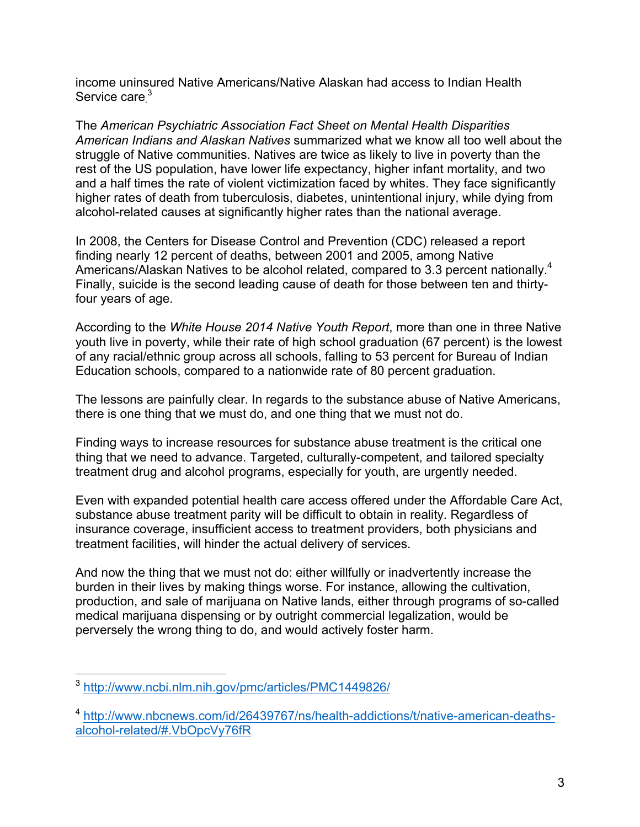income uninsured Native Americans/Native Alaskan had access to Indian Health Service care.<sup>3</sup>

The!*American'Psychiatric'Association'Fact'Sheet'on'Mental'Health'Disparities' American Indians and Alaskan Natives* summarized what we know all too well about the struggle of Native communities. Natives are twice as likely to live in poverty than the rest of the US population, have lower life expectancy, higher infant mortality, and two and a half times the rate of violent victimization faced by whites. They face significantly higher rates of death from tuberculosis, diabetes, unintentional injury, while dying from alcohol-related causes at significantly higher rates than the national average.

In 2008, the Centers for Disease Control and Prevention (CDC) released a report finding nearly 12 percent of deaths, between 2001 and 2005, among Native Americans/Alaskan Natives to be alcohol related, compared to 3.3 percent nationally.<sup>4</sup> Finally, suicide is the second leading cause of death for those between ten and thirtyfour years of age.

According to the *White House 2014 Native Youth Report*, more than one in three Native youth live in poverty, while their rate of high school graduation (67 percent) is the lowest of any racial/ethnic group across all schools, falling to 53 percent for Bureau of Indian Education schools, compared to a nationwide rate of 80 percent graduation.

The lessons are painfully clear. In regards to the substance abuse of Native Americans, there is one thing that we must do, and one thing that we must not do.

Finding ways to increase resources for substance abuse treatment is the critical one thing that we need to advance. Targeted, culturally-competent, and tailored specialty treatment drug and alcohol programs, especially for youth, are urgently needed.

Even with expanded potential health care access offered under the Affordable Care Act, substance abuse treatment parity will be difficult to obtain in reality. Regardless of insurance coverage, insufficient access to treatment providers, both physicians and treatment facilities, will hinder the actual delivery of services.

And now the thing that we must not do: either willfully or inadvertently increase the burden in their lives by making things worse. For instance, allowing the cultivation, production, and sale of marijuana on Native lands, either through programs of so-called medical marijuana dispensing or by outright commercial legalization, would be perversely the wrong thing to do, and would actively foster harm.

<sup>&</sup>lt;sup>3</sup> http://www.ncbi.nlm.nih.gov/pmc/articles/PMC1449826/

<sup>&</sup>lt;sup>4</sup> http://www.nbcnews.com/id/26439767/ns/health-addictions/t/native-american-deathsalcohol-related/#.VbOpcVy76fR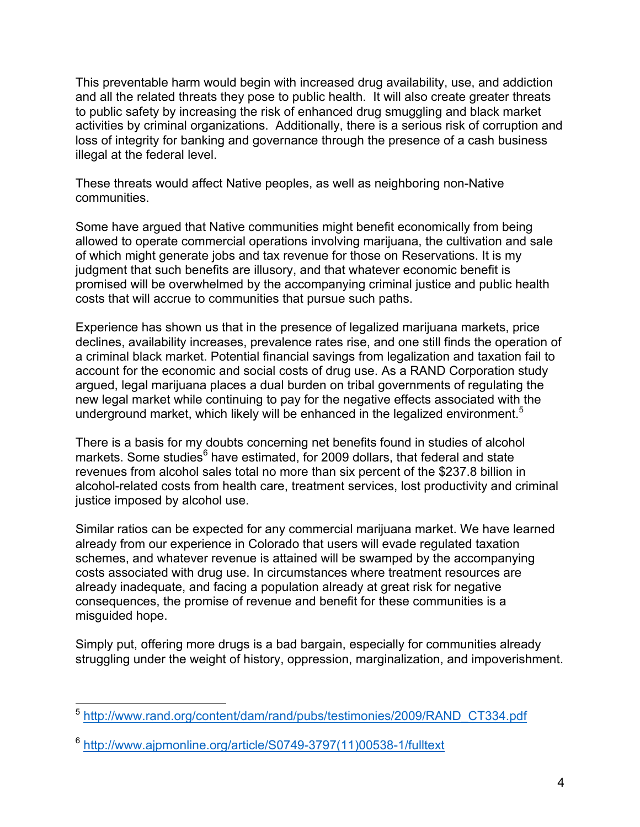This preventable harm would begin with increased drug availability, use, and addiction and all the related threats they pose to public health. It will also create greater threats to public safety by increasing the risk of enhanced drug smuggling and black market activities by criminal organizations. Additionally, there is a serious risk of corruption and loss of integrity for banking and governance through the presence of a cash business illegal at the federal level.

These threats would affect Native peoples, as well as neighboring non-Native communities.

Some have argued that Native communities might benefit economically from being allowed to operate commercial operations involving marijuana, the cultivation and sale of which might generate jobs and tax revenue for those on Reservations. It is my judgment that such benefits are illusory, and that whatever economic benefit is promised will be overwhelmed by the accompanying criminal justice and public health costs that will accrue to communities that pursue such paths.

Experience has shown us that in the presence of legalized marijuana markets, price declines, availability increases, prevalence rates rise, and one still finds the operation of a criminal black market. Potential financial savings from legalization and taxation fail to account for the economic and social costs of drug use. As a RAND Corporation study argued, legal marijuana places a dual burden on tribal governments of regulating the new legal market while continuing to pay for the negative effects associated with the underground market, which likely will be enhanced in the legalized environment.<sup>5</sup>

There is a basis for my doubts concerning net benefits found in studies of alcohol markets. Some studies<sup>6</sup> have estimated, for 2009 dollars, that federal and state revenues from alcohol sales total no more than six percent of the \$237.8 billion in alcohol-related costs from health care, treatment services, lost productivity and criminal justice imposed by alcohol use.

Similar ratios can be expected for any commercial marijuana market. We have learned already from our experience in Colorado that users will evade regulated taxation schemes, and whatever revenue is attained will be swamped by the accompanying costs associated with drug use. In circumstances where treatment resources are already inadequate, and facing a population already at great risk for negative consequences, the promise of revenue and benefit for these communities is a misguided hope.

Simply put, offering more drugs is a bad bargain, especially for communities already struggling under the weight of history, oppression, marginalization, and impoverishment.

<sup>&</sup>lt;sup>5</sup> http://www.rand.org/content/dam/rand/pubs/testimonies/2009/RAND\_CT334.pdf

 $6$  http://www.ajpmonline.org/article/S0749-3797(11)00538-1/fulltext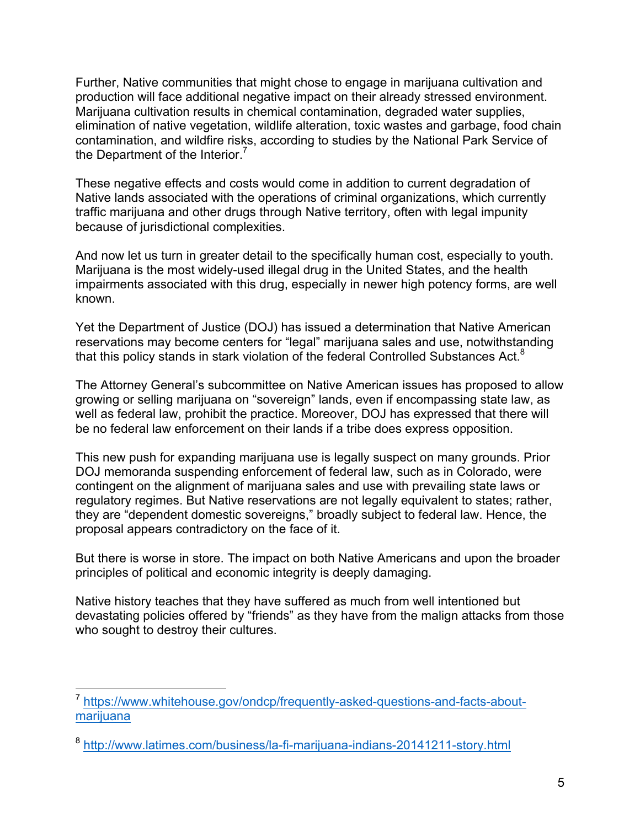Further, Native communities that might chose to engage in marijuana cultivation and production will face additional negative impact on their already stressed environment. Marijuana cultivation results in chemical contamination, degraded water supplies, elimination of native vegetation, wildlife alteration, toxic wastes and garbage, food chain contamination, and wildfire risks, according to studies by the National Park Service of the Department of the Interior.<sup>7</sup>

These negative effects and costs would come in addition to current degradation of Native lands associated with the operations of criminal organizations, which currently traffic marijuana and other drugs through Native territory, often with legal impunity because of jurisdictional complexities.

And now let us turn in greater detail to the specifically human cost, especially to youth. Marijuana is the most widely-used illegal drug in the United States, and the health impairments associated with this drug, especially in newer high potency forms, are well known.

Yet the Department of Justice (DOJ) has issued a determination that Native American reservations may become centers for "legal" marijuana sales and use, notwithstanding that this policy stands in stark violation of the federal Controlled Substances Act. $8$ 

The Attorney General's subcommittee on Native American issues has proposed to allow growing or selling marijuana on "sovereign" lands, even if encompassing state law, as well as federal law, prohibit the practice. Moreover, DOJ has expressed that there will be no federal law enforcement on their lands if a tribe does express opposition.

This new push for expanding marijuana use is legally suspect on many grounds. Prior DOJ memoranda suspending enforcement of federal law, such as in Colorado, were contingent on the alignment of marijuana sales and use with prevailing state laws or regulatory regimes. But Native reservations are not legally equivalent to states; rather, they are "dependent domestic sovereigns," broadly subject to federal law. Hence, the proposal appears contradictory on the face of it.

But there is worse in store. The impact on both Native Americans and upon the broader principles of political and economic integrity is deeply damaging.

Native history teaches that they have suffered as much from well intentioned but devastating policies offered by "friends" as they have from the malign attacks from those who sought to destroy their cultures.

<sup>&</sup>lt;sup>7</sup> https://www.whitehouse.gov/ondcp/frequently-asked-questions-and-facts-aboutmarijuana

<sup>&</sup>lt;sup>8</sup> http://www.latimes.com/business/la-fi-marijuana-indians-20141211-story.html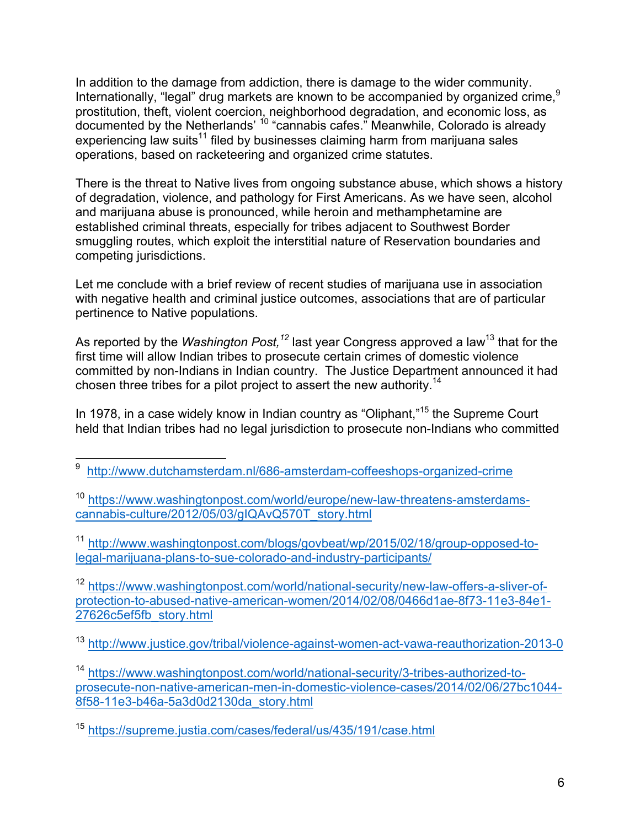In addition to the damage from addiction, there is damage to the wider community. Internationally, "legal" drug markets are known to be accompanied by organized crime.<sup>9</sup> prostitution, theft, violent coercion, neighborhood degradation, and economic loss, as documented by the Netherlands'  $10$  "cannabis cafes." Meanwhile, Colorado is already experiencing law suits<sup>11</sup> filed by businesses claiming harm from marijuana sales operations, based on racketeering and organized crime statutes.

There is the threat to Native lives from ongoing substance abuse, which shows a history of degradation, violence, and pathology for First Americans. As we have seen, alcohol and marijuana abuse is pronounced, while heroin and methamphetamine are established criminal threats, especially for tribes adjacent to Southwest Border smuggling routes, which exploit the interstitial nature of Reservation boundaries and competing jurisdictions.

Let me conclude with a brief review of recent studies of marijuana use in association with negative health and criminal justice outcomes, associations that are of particular pertinence to Native populations.

As reported by the *Washington Post,<sup>12</sup> last year Congress approved a law<sup>13</sup> that for the* first time will allow Indian tribes to prosecute certain crimes of domestic violence committed by non-Indians in Indian country. The Justice Department announced it had chosen three tribes for a pilot project to assert the new authority.<sup>14</sup>

In 1978, in a case widely know in Indian country as "Oliphant,"<sup>15</sup> the Supreme Court held that Indian tribes had no legal jurisdiction to prosecute non-Indians who committed

<sup>11</sup> http://www.washingtonpost.com/blogs/govbeat/wp/2015/02/18/group-opposed-tolegal-marijuana-plans-to-sue-colorado-and-industry-participants/

<sup>12</sup> https://www.washingtonpost.com/world/national-security/new-law-offers-a-sliver-ofprotection-to-abused-native-american-women/2014/02/08/0466d1ae-8f73-11e3-84e1-27626c5ef5fb\_story.html

<sup>13</sup> http://www.justice.gov/tribal/violence-against-women-act-vawa-reauthorization-2013-0

<sup>14</sup> https://www.washingtonpost.com/world/national-security/3-tribes-authorized-toprosecute-non-native-american-men-in-domestic-violence-cases/2014/02/06/27bc1044-8f58-11e3-b46a-5a3d0d2130da\_story.html

<sup>&</sup>lt;sup>9</sup> http://www.dutchamsterdam.nl/686-amsterdam-coffeeshops-organized-crime

<sup>&</sup>lt;sup>10</sup> https://www.washingtonpost.com/world/europe/new-law-threatens-amsterdamscannabis-culture/2012/05/03/gIQAvQ570T\_story.html

<sup>15</sup> https://supreme.justia.com/cases/federal/us/435/191/case.html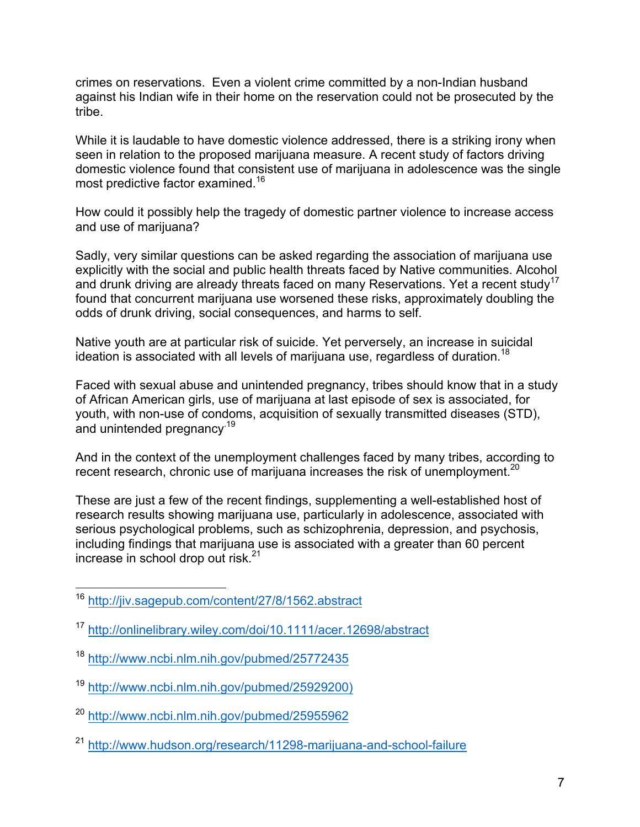crimes on reservations. Even a violent crime committed by a non-Indian husband against his Indian wife in their home on the reservation could not be prosecuted by the tribe.

While it is laudable to have domestic violence addressed, there is a striking irony when seen in relation to the proposed marijuana measure. A recent study of factors driving domestic violence found that consistent use of marijuana in adolescence was the single most predictive factor examined.<sup>16</sup>

How could it possibly help the tragedy of domestic partner violence to increase access and use of marijuana?

Sadly, very similar questions can be asked regarding the association of marijuana use explicitly with the social and public health threats faced by Native communities. Alcohol and drunk driving are already threats faced on many Reservations. Yet a recent study<sup>17</sup> found that concurrent marijuana use worsened these risks, approximately doubling the odds of drunk driving, social consequences, and harms to self.

Native youth are at particular risk of suicide. Yet perversely, an increase in suicidal ideation is associated with all levels of marijuana use, regardless of duration.<sup>18</sup>

Faced with sexual abuse and unintended pregnancy, tribes should know that in a study of African American girls, use of marijuana at last episode of sex is associated, for youth, with non-use of condoms, acquisition of sexually transmitted diseases (STD), and unintended pregnancy<sup>19</sup>

And in the context of the unemployment challenges faced by many tribes, according to recent research, chronic use of marijuana increases the risk of unemployment.<sup>20</sup>

These are just a few of the recent findings, supplementing a well-established host of research results showing marijuana use, particularly in adolescence, associated with serious psychological problems, such as schizophrenia, depression, and psychosis, including findings that marijuana use is associated with a greater than 60 percent increase in school drop out risk.<sup>21</sup>

- <sup>19</sup> http://www.ncbi.nlm.nih.gov/pubmed/25929200)
- <sup>20</sup> http://www.ncbi.nlm.nih.gov/pubmed/25955962
- <sup>21</sup> http://www.hudson.org/research/11298-marijuana-and-school-failure

<sup>&</sup>lt;sup>16</sup> http://jiv.sagepub.com/content/27/8/1562.abstract

<sup>17</sup> http://onlinelibrary.wiley.com/doi/10.1111/acer.12698/abstract

<sup>18</sup> http://www.ncbi.nlm.nih.gov/pubmed/25772435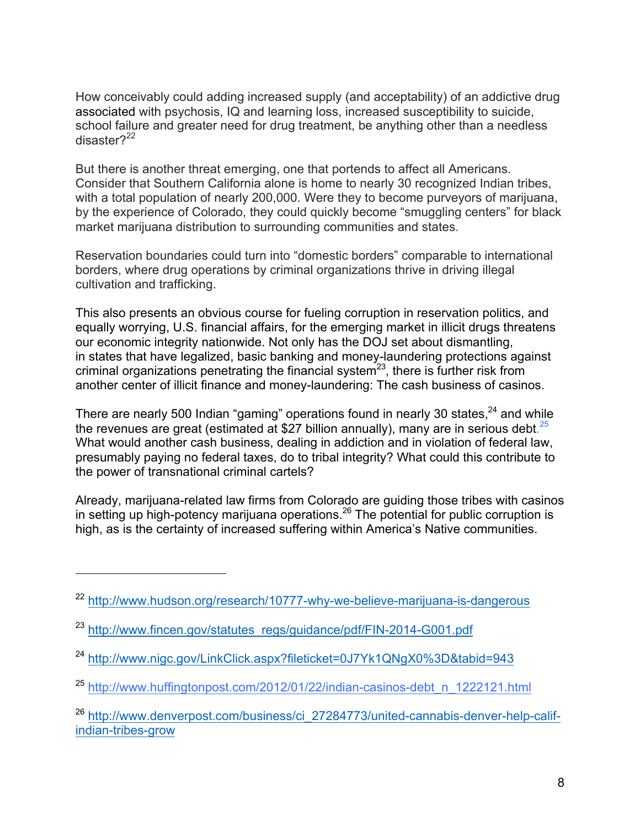How conceivably could adding increased supply (and acceptability) of an addictive drug associated with psychosis, IQ and learning loss, increased susceptibility to suicide, school failure and greater need for drug treatment, be anything other than a needless disaster?<sup>22</sup>

But there is another threat emerging, one that portends to affect all Americans. Consider that Southern California alone is home to nearly 30 recognized Indian tribes, with a total population of nearly 200,000. Were they to become purveyors of marijuana, by the experience of Colorado, they could quickly become "smuggling centers" for black market marijuana distribution to surrounding communities and states.

Reservation boundaries could turn into "domestic borders" comparable to international borders, where drug operations by criminal organizations thrive in driving illegal cultivation and trafficking.

This also presents an obvious course for fueling corruption in reservation politics, and equally worrying, U.S. financial affairs, for the emerging market in illicit drugs threatens our economic integrity nationwide. Not only has the DOJ set about dismantling, in states that have legalized, basic banking and money-laundering protections against criminal organizations penetrating the financial system<sup>23</sup>, there is further risk from another center of illicit finance and money-laundering: The cash business of casinos.

There are nearly 500 Indian "gaming" operations found in nearly 30 states, $^{24}$  and while the revenues are great (estimated at \$27 billion annually), many are in serious debt. $25$ What would another cash business, dealing in addiction and in violation of federal law, presumably paying no federal taxes, do to tribal integrity? What could this contribute to the power of transnational criminal cartels?

Already, marijuana-related law firms from Colorado are guiding those tribes with casinos in setting up high-potency marijuana operations.<sup>26</sup> The potential for public corruption is high, as is the certainty of increased suffering within America's Native communities.

!!!!!!!!!!!!!!!!!!!!!!!!!!!!!!!!!!!!!!!!!!!

<sup>&</sup>lt;sup>22</sup> http://www.hudson.org/research/10777-why-we-believe-marijuana-is-dangerous

<sup>&</sup>lt;sup>23</sup> http://www.fincen.gov/statutes\_regs/guidance/pdf/FIN-2014-G001.pdf

<sup>24</sup> http://www.nigc.gov/LinkClick.aspx?fileticket=0J7Yk1QNgX0%3D&tabid=943

 $25$  http://www.huffingtonpost.com/2012/01/22/indian-casinos-debt\_n\_1222121.html

<sup>&</sup>lt;sup>26</sup> http://www.denverpost.com/business/ci\_27284773/united-cannabis-denver-help-califindian-tribes-grow